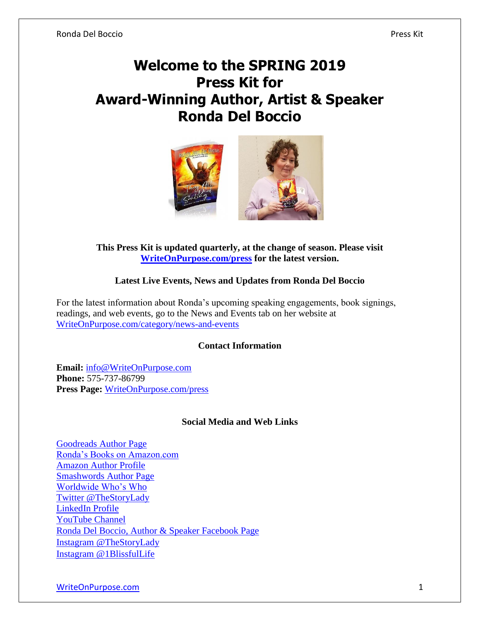# **Welcome to the SPRING 2019 Press Kit for Award-Winning Author, Artist & Speaker Ronda Del Boccio**



**This Press Kit is updated quarterly, at the change of season. Please visit [WriteOnPurpose.com/press](https://writeonpurpose.com/press) for the latest version.**

## **Latest Live Events, News and Updates from Ronda Del Boccio**

For the latest information about Ronda's upcoming speaking engagements, book signings, readings, and web events, go to the News and Events tab on her website at [WriteOnPurpose.com/category/news-and-events](https://writeonpurpose.com/category/news-and-events)

#### **Contact Information**

**Email:** [info@WriteOnPurpose.com](mailto:info@WriteOnPurpose.com) **Phone:** 575-737-86799 **Press Page:** [WriteOnPurpose.com/press](http://writeonpurpose.com/press)

#### **Social Media and Web Links**

[Goodreads Author Page](http://www.goodreads.com/author/show/4308115.Ronda_Del_Boccio) [Ronda's Books on Amazon.com](http://writeonpurpose.com/amazon) [Amazon Author Profile](http://profitablestorytelling.com/amazonprofile) [Smashwords Author Page](https://www.smashwords.com/profile/view/AuthorRonda) [Worldwide Who's Who](http://www.worldwidewhoswho.com/Ronda-DelBoccio) [Twitter @TheStoryLady](http://twitter.com/thestorylady) [LinkedIn Profile](http://linkedin.com/in/thestorylady) [YouTube Channel](http://www.youtube.com/rockinrondad) [Ronda Del Boccio, Author & Speaker Facebook Page](https://www.facebook.com/RondaDelBoccio) [Instagram](https://www.instagram.com/thestorylady) @TheStoryLady [Instagram @1BlissfulLife](https://www.instagram.com/1blissfullife)

[WriteOnPurpose.com](http://writeonpurpose.com/) 1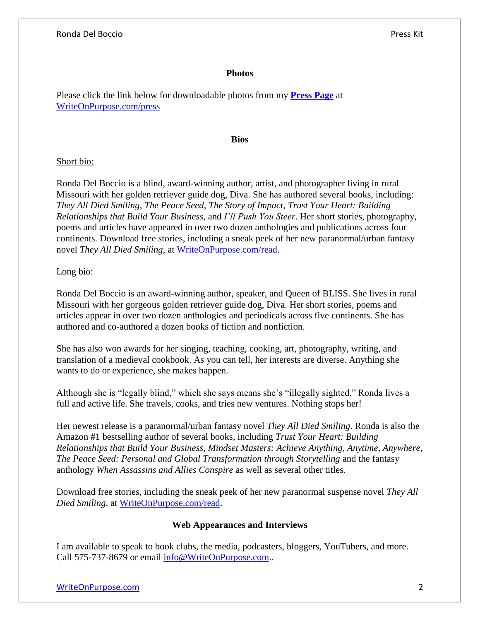## **Photos**

Please click the link below for downloadable photos from my **[Press Page](https://writeonpurpose.com/press)** at [WriteOnPurpose.com/press](https://writeonpurpose.com/press)

#### **Bios**

## Short bio:

Ronda Del Boccio is a blind, award-winning author, artist, and photographer living in rural Missouri with her golden retriever guide dog, Diva. She has authored several books, including: *They All Died Smiling*, *The Peace Seed*, *The Story of Impact*, *Trust Your Heart: Building Relationships that Build Your Business*, and *I'll Push You Steer*. Her short stories, photography, poems and articles have appeared in over two dozen anthologies and publications across four continents. Download free stories, including a sneak peek of her new paranormal/urban fantasy novel *They All Died Smiling*, at [WriteOnPurpose.com/read.](https://writeonpurpose.com/read)

## Long bio:

Ronda Del Boccio is an award-winning author, speaker, and Queen of BLISS. She lives in rural Missouri with her gorgeous golden retriever guide dog, Diva. Her short stories, poems and articles appear in over two dozen anthologies and periodicals across five continents. She has authored and co-authored a dozen books of fiction and nonfiction.

She has also won awards for her singing, teaching, cooking, art, photography, writing, and translation of a medieval cookbook. As you can tell, her interests are diverse. Anything she wants to do or experience, she makes happen.

Although she is "legally blind," which she says means she's "illegally sighted," Ronda lives a full and active life. She travels, cooks, and tries new ventures. Nothing stops her!

Her newest release is a paranormal/urban fantasy novel *They All Died Smiling*. Ronda is also the Amazon #1 bestselling author of several books, including *Trust Your Heart: Building Relationships that Build Your Business*, *Mindset Masters: Achieve Anything, Anytime, Anywhere*, *The Peace Seed: Personal and Global Transformation through Storytelling* and the fantasy anthology *When Assassins and Allies Conspire* as well as several other titles.

Download free stories, including the sneak peek of her new paranormal suspense novel *They All Died Smiling*, at [WriteOnPurpose.com/read.](https://writeonpurpose.com/read)

## **Web Appearances and Interviews**

I am available to speak to book clubs, the media, podcasters, bloggers, YouTubers, and more. Call 575-737-8679 or email [info@WriteOnPurpose.com.](mailto:info@WriteOnPurpose.com).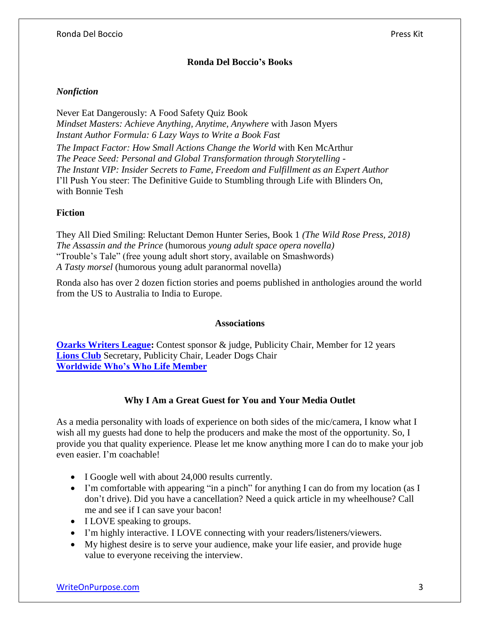## **Ronda Del Boccio's Books**

## *Nonfiction*

Never Eat Dangerously: A Food Safety Quiz Book *Mindset Masters: Achieve Anything, Anytime, Anywhere* with Jason Myers *Instant Author Formula: 6 Lazy Ways to Write a Book Fast The Impact Factor: How Small Actions Change the World* with Ken McArthur *The Peace Seed: Personal and Global Transformation through Storytelling* - *The Instant VIP: Insider Secrets to Fame, Freedom and Fulfillment as an Expert Author* I'll Push You steer: The Definitive Guide to Stumbling through Life with Blinders On, with Bonnie Tesh

## **Fiction**

They All Died Smiling: Reluctant Demon Hunter Series, Book 1 *(The Wild Rose Press, 2018) The Assassin and the Prince* (humorous *young adult space opera novella)* "Trouble's Tale" (free young adult short story, available on Smashwords) *A Tasty morsel* (humorous young adult paranormal novella)

Ronda also has over 2 dozen fiction stories and poems published in anthologies around the world from the US to Australia to India to Europe.

#### **Associations**

**[Ozarks Writers League:](http://www.ozarkswritersleague.com/)** Contest sponsor & judge, Publicity Chair, Member for 12 years **[Lions Club](https://www.facebook.com/kcmolions)** Secretary, Publicity Chair, Leader Dogs Chair **[Worldwide Who's Who](http://www.worldwidewhoswho.com/Ronda-DelBoccio) Life Member**

## **Why I Am a Great Guest for You and Your Media Outlet**

As a media personality with loads of experience on both sides of the mic/camera, I know what I wish all my guests had done to help the producers and make the most of the opportunity. So, I provide you that quality experience. Please let me know anything more I can do to make your job even easier. I'm coachable!

- I Google well with about 24,000 results currently.
- I'm comfortable with appearing "in a pinch" for anything I can do from my location (as I don't drive). Did you have a cancellation? Need a quick article in my wheelhouse? Call me and see if I can save your bacon!
- I LOVE speaking to groups.
- I'm highly interactive. I LOVE connecting with your readers/listeners/viewers.
- My highest desire is to serve your audience, make your life easier, and provide huge value to everyone receiving the interview.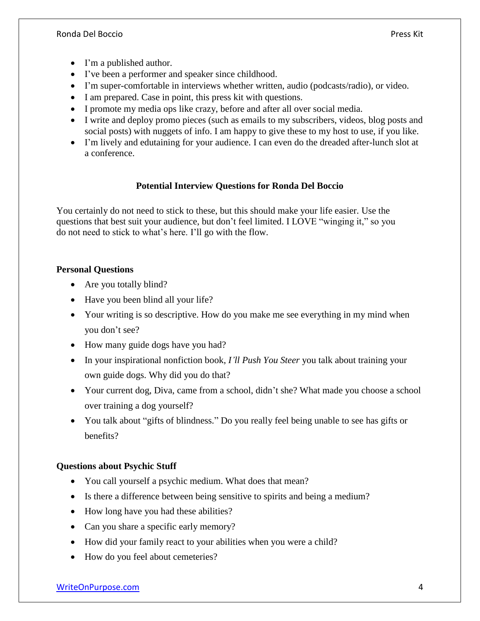- I'm a published author.
- I've been a performer and speaker since childhood.
- I'm super-comfortable in interviews whether written, audio (podcasts/radio), or video.
- I am prepared. Case in point, this press kit with questions.
- I promote my media ops like crazy, before and after all over social media.
- I write and deploy promo pieces (such as emails to my subscribers, videos, blog posts and social posts) with nuggets of info. I am happy to give these to my host to use, if you like.
- I'm lively and edutaining for your audience. I can even do the dreaded after-lunch slot at a conference.

## **Potential Interview Questions for Ronda Del Boccio**

You certainly do not need to stick to these, but this should make your life easier. Use the questions that best suit your audience, but don't feel limited. I LOVE "winging it," so you do not need to stick to what's here. I'll go with the flow.

#### **Personal Questions**

- Are you totally blind?
- Have you been blind all your life?
- Your writing is so descriptive. How do you make me see everything in my mind when you don't see?
- How many guide dogs have you had?
- In your inspirational nonfiction book, *I'll Push You Steer* you talk about training your own guide dogs. Why did you do that?
- Your current dog, Diva, came from a school, didn't she? What made you choose a school over training a dog yourself?
- You talk about "gifts of blindness." Do you really feel being unable to see has gifts or benefits?

#### **Questions about Psychic Stuff**

- You call yourself a psychic medium. What does that mean?
- Is there a difference between being sensitive to spirits and being a medium?
- How long have you had these abilities?
- Can you share a specific early memory?
- How did your family react to your abilities when you were a child?
- How do you feel about cemeteries?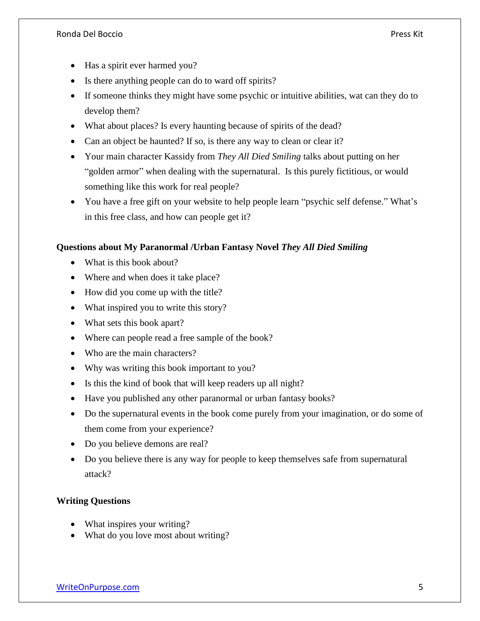- Has a spirit ever harmed you?
- Is there anything people can do to ward off spirits?
- If someone thinks they might have some psychic or intuitive abilities, wat can they do to develop them?
- What about places? Is every haunting because of spirits of the dead?
- Can an object be haunted? If so, is there any way to clean or clear it?
- Your main character Kassidy from *They All Died Smiling* talks about putting on her "golden armor" when dealing with the supernatural. Is this purely fictitious, or would something like this work for real people?
- You have a free gift on your website to help people learn "psychic self defense." What's in this free class, and how can people get it?

## **Questions about My Paranormal /Urban Fantasy Novel** *They All Died Smiling*

- What is this book about?
- Where and when does it take place?
- How did you come up with the title?
- What inspired you to write this story?
- What sets this book apart?
- Where can people read a free sample of the book?
- Who are the main characters?
- Why was writing this book important to you?
- Is this the kind of book that will keep readers up all night?
- Have you published any other paranormal or urban fantasy books?
- Do the supernatural events in the book come purely from your imagination, or do some of them come from your experience?
- Do you believe demons are real?
- Do you believe there is any way for people to keep themselves safe from supernatural attack?

# **Writing Questions**

- What inspires your writing?
- What do you love most about writing?